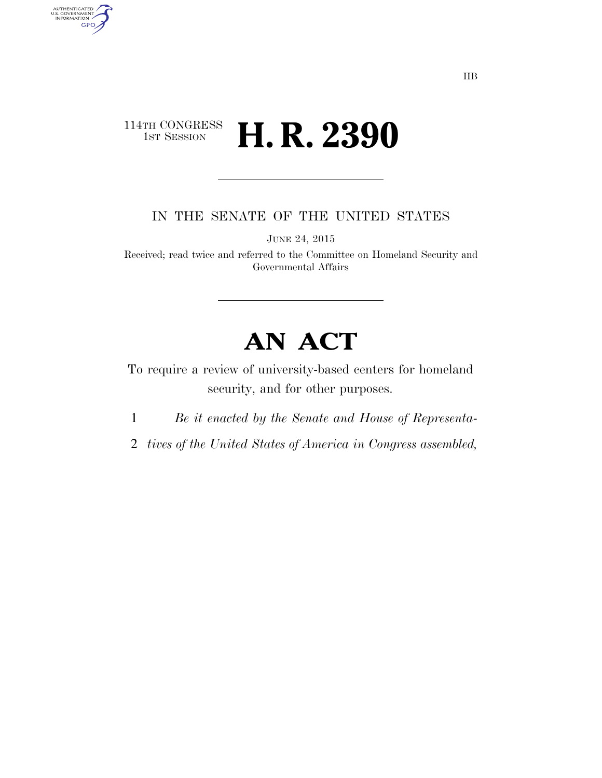## 114TH CONGRESS<br>1st Session H. R. 2390

AUTHENTICATED<br>U.S. GOVERNMENT<br>INFORMATION GPO

IN THE SENATE OF THE UNITED STATES

JUNE 24, 2015

Received; read twice and referred to the Committee on Homeland Security and Governmental Affairs

## **AN ACT**

To require a review of university-based centers for homeland security, and for other purposes.

1 *Be it enacted by the Senate and House of Representa-*

2 *tives of the United States of America in Congress assembled,*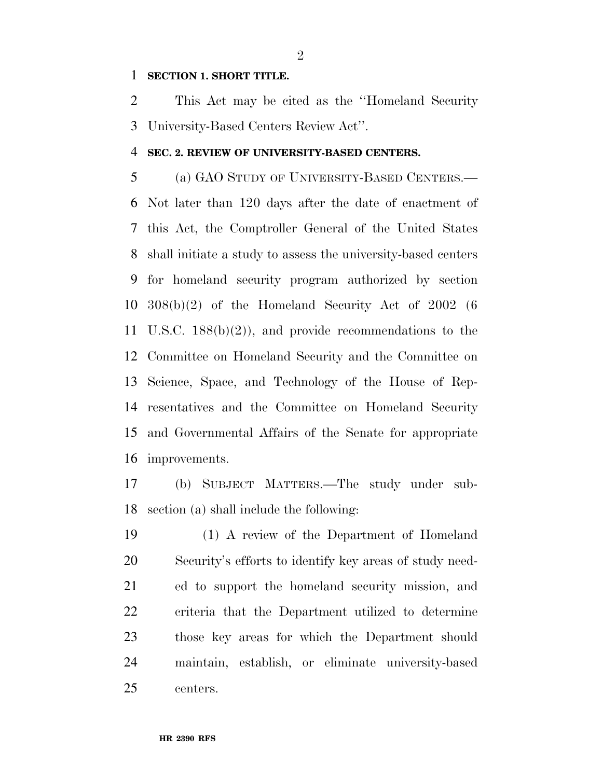## **SECTION 1. SHORT TITLE.**

 This Act may be cited as the ''Homeland Security University-Based Centers Review Act''.

## **SEC. 2. REVIEW OF UNIVERSITY-BASED CENTERS.**

 (a) GAO STUDY OF UNIVERSITY-BASED CENTERS.— Not later than 120 days after the date of enactment of this Act, the Comptroller General of the United States shall initiate a study to assess the university-based centers for homeland security program authorized by section 308(b)(2) of the Homeland Security Act of 2002 (6 U.S.C. 188(b)(2)), and provide recommendations to the Committee on Homeland Security and the Committee on Science, Space, and Technology of the House of Rep- resentatives and the Committee on Homeland Security and Governmental Affairs of the Senate for appropriate improvements.

 (b) SUBJECT MATTERS.—The study under sub-section (a) shall include the following:

 (1) A review of the Department of Homeland Security's efforts to identify key areas of study need- ed to support the homeland security mission, and criteria that the Department utilized to determine those key areas for which the Department should maintain, establish, or eliminate university-based centers.

 $\mathfrak{D}$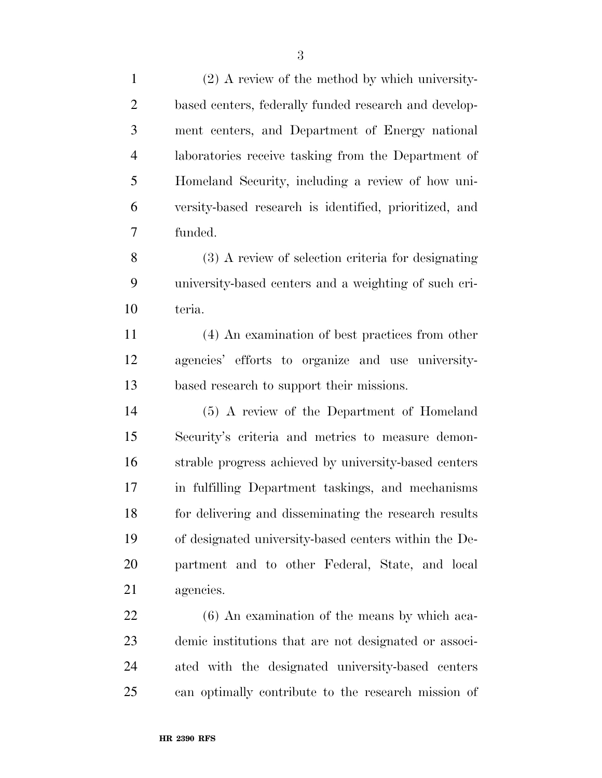| $\mathbf{1}$   | $(2)$ A review of the method by which university-      |
|----------------|--------------------------------------------------------|
| $\overline{2}$ | based centers, federally funded research and develop-  |
| 3              | ment centers, and Department of Energy national        |
| $\overline{4}$ | laboratories receive tasking from the Department of    |
| 5              | Homeland Security, including a review of how uni-      |
| 6              | versity-based research is identified, prioritized, and |
| 7              | funded.                                                |
| 8              | (3) A review of selection criteria for designating     |
| 9              | university-based centers and a weighting of such cri-  |
| 10             | teria.                                                 |
| 11             | (4) An examination of best practices from other        |
| 12             | agencies' efforts to organize and use university-      |
| 13             | based research to support their missions.              |
| 14             | (5) A review of the Department of Homeland             |
| 15             | Security's criteria and metrics to measure demon-      |
| 16             | strable progress achieved by university-based centers  |
| 17             | in fulfilling Department taskings, and mechanisms      |
| 18             | for delivering and disseminating the research results  |
| 19             | of designated university-based centers within the De-  |
| 20             | partment and to other Federal, State, and local        |
| 21             | agencies.                                              |
| 22             | $(6)$ An examination of the means by which aca-        |
| 23             | demic institutions that are not designated or associ-  |
| 24             | ated with the designated university-based centers      |
| 25             | can optimally contribute to the research mission of    |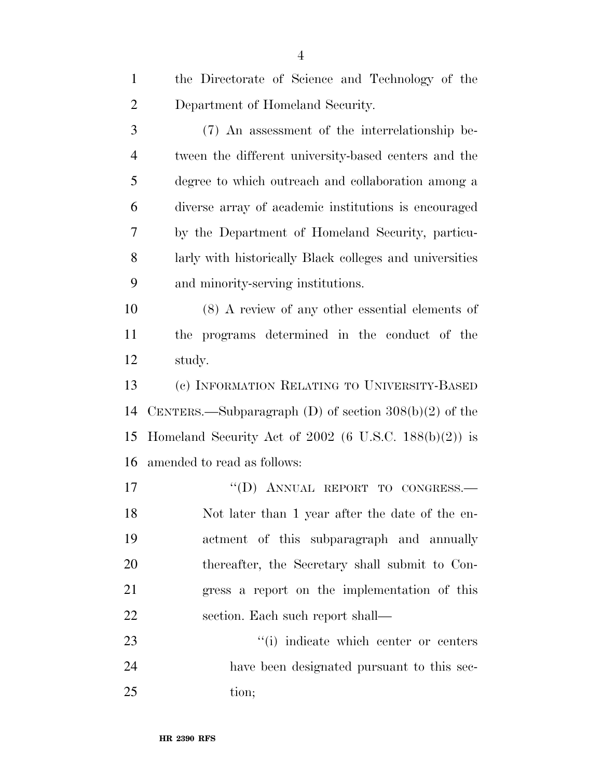| $\mathbf{1}$   | the Directorate of Science and Technology of the          |
|----------------|-----------------------------------------------------------|
| $\overline{2}$ | Department of Homeland Security.                          |
| 3              | (7) An assessment of the interrelationship be-            |
| $\overline{4}$ | tween the different university-based centers and the      |
| 5              | degree to which outreach and collaboration among a        |
| 6              | diverse array of academic institutions is encouraged      |
| 7              | by the Department of Homeland Security, particu-          |
| 8              | larly with historically Black colleges and universities   |
| 9              | and minority-serving institutions.                        |
| 10             | $(8)$ A review of any other essential elements of         |
| 11             | the programs determined in the conduct of the             |
| 12             | study.                                                    |
| 13             | (c) INFORMATION RELATING TO UNIVERSITY-BASED              |
| 14             | CENTERS.—Subparagraph $(D)$ of section $308(b)(2)$ of the |
| 15             | Homeland Security Act of 2002 (6 U.S.C. $188(b)(2)$ ) is  |
| 16             | amended to read as follows:                               |
| 17             | "(D) ANNUAL REPORT TO CONGRESS.-                          |
| 18             | Not later than 1 year after the date of the en-           |
| 19             | actment of this subparagraph and annually                 |
| 20             | thereafter, the Secretary shall submit to Con-            |
| 21             | gress a report on the implementation of this              |
| 22             | section. Each such report shall—                          |
| 23             | "(i) indicate which center or centers                     |
| 24             | have been designated pursuant to this sec-                |
| 25             | tion;                                                     |